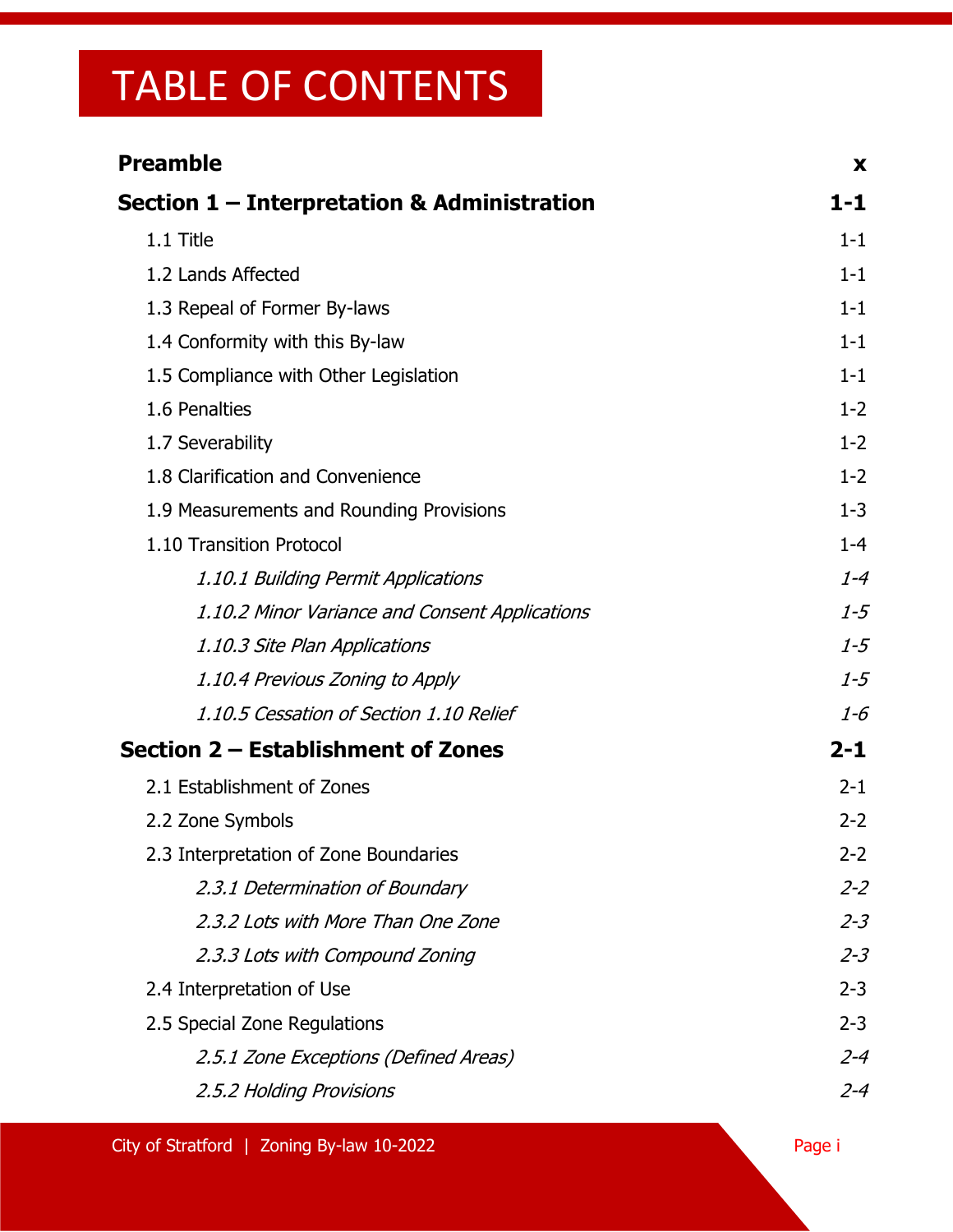| <b>Preamble</b>                                | X       |
|------------------------------------------------|---------|
| Section 1 – Interpretation & Administration    | 1-1     |
| 1.1 Title                                      | $1 - 1$ |
| 1.2 Lands Affected                             | $1 - 1$ |
| 1.3 Repeal of Former By-laws                   | $1 - 1$ |
| 1.4 Conformity with this By-law                | $1 - 1$ |
| 1.5 Compliance with Other Legislation          | $1 - 1$ |
| 1.6 Penalties                                  | $1 - 2$ |
| 1.7 Severability                               | $1 - 2$ |
| 1.8 Clarification and Convenience              | $1 - 2$ |
| 1.9 Measurements and Rounding Provisions       | $1 - 3$ |
| 1.10 Transition Protocol                       | $1 - 4$ |
| 1.10.1 Building Permit Applications            | $1 - 4$ |
| 1.10.2 Minor Variance and Consent Applications | $1 - 5$ |
| 1.10.3 Site Plan Applications                  | $1 - 5$ |
| 1.10.4 Previous Zoning to Apply                | $1 - 5$ |
| 1.10.5 Cessation of Section 1.10 Relief        | $1 - 6$ |
| Section 2 – Establishment of Zones             | $2 - 1$ |
| 2.1 Establishment of Zones                     | $2 - 1$ |
| 2.2 Zone Symbols                               | $2 - 2$ |
| 2.3 Interpretation of Zone Boundaries          | $2 - 2$ |
| 2.3.1 Determination of Boundary                | $2 - 2$ |
| 2.3.2 Lots with More Than One Zone             | $2 - 3$ |
| 2.3.3 Lots with Compound Zoning                | $2 - 3$ |
| 2.4 Interpretation of Use                      | $2 - 3$ |
| 2.5 Special Zone Regulations                   | $2 - 3$ |
| 2.5.1 Zone Exceptions (Defined Areas)          | $2 - 4$ |
| 2.5.2 Holding Provisions                       | $2 - 4$ |

City of Stratford | Zoning By-law 10-2022 Page in the City of Stratford | Zoning By-law 10-2022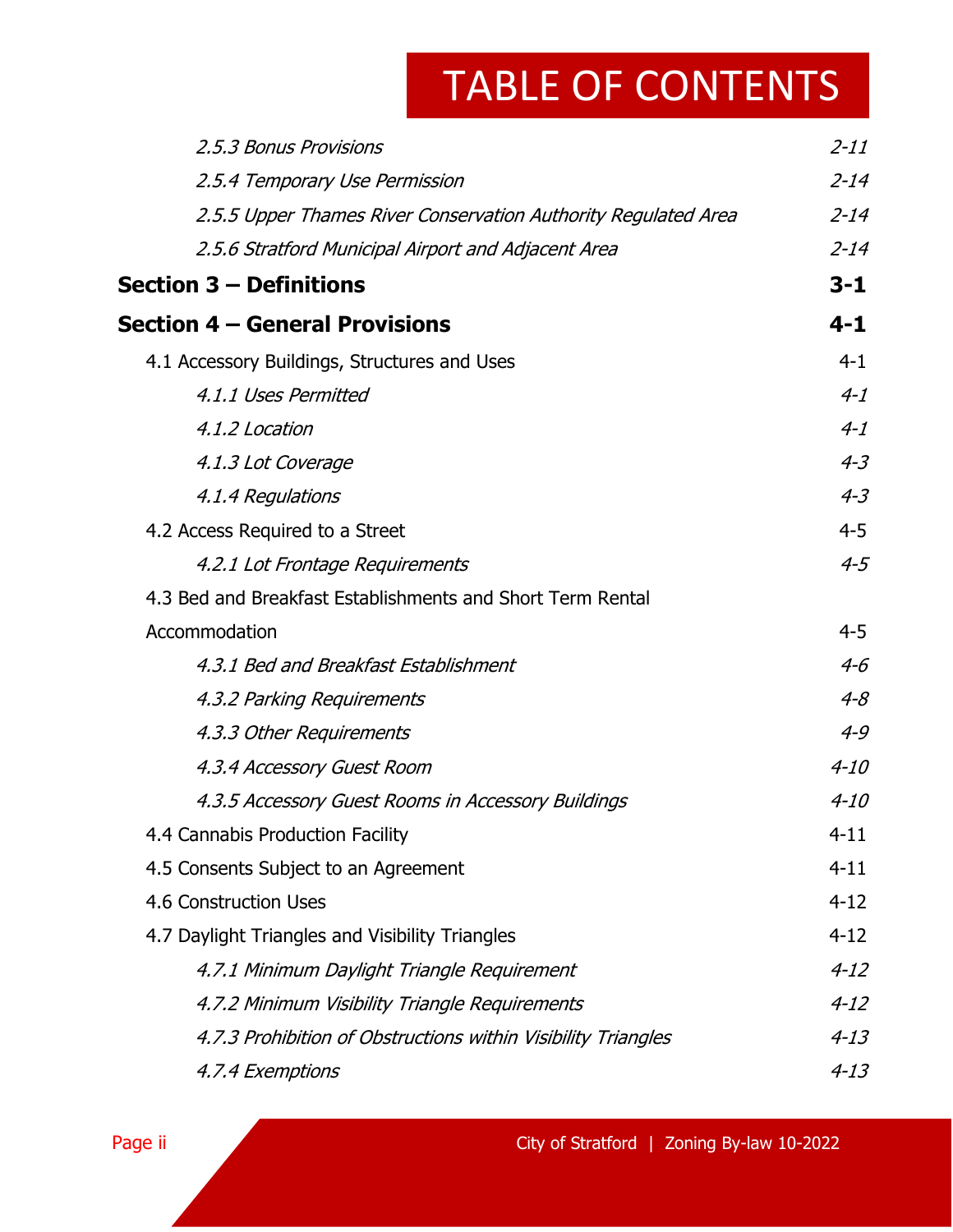| 2.5.3 Bonus Provisions                                         | $2 - 11$ |
|----------------------------------------------------------------|----------|
| 2.5.4 Temporary Use Permission                                 | $2 - 14$ |
| 2.5.5 Upper Thames River Conservation Authority Regulated Area | $2 - 14$ |
| 2.5.6 Stratford Municipal Airport and Adjacent Area            | $2 - 14$ |
| Section 3 — Definitions                                        | $3 - 1$  |
| Section 4 – General Provisions                                 | $4 - 1$  |
| 4.1 Accessory Buildings, Structures and Uses                   | $4 - 1$  |
| 4.1.1 Uses Permitted                                           | $4 - 1$  |
| 4.1.2 Location                                                 | $4 - 1$  |
| 4.1.3 Lot Coverage                                             | $4 - 3$  |
| 4.1.4 Regulations                                              | $4 - 3$  |
| 4.2 Access Required to a Street                                | $4 - 5$  |
| 4.2.1 Lot Frontage Requirements                                | $4 - 5$  |
| 4.3 Bed and Breakfast Establishments and Short Term Rental     |          |
| Accommodation                                                  | $4 - 5$  |
| 4.3.1 Bed and Breakfast Establishment                          | $4 - 6$  |
| 4.3.2 Parking Requirements                                     | $4 - 8$  |
| 4.3.3 Other Requirements                                       | $4 - 9$  |
| 4.3.4 Accessory Guest Room                                     | $4 - 10$ |
| 4.3.5 Accessory Guest Rooms in Accessory Buildings             | $4 - 10$ |
| 4.4 Cannabis Production Facility                               | $4 - 11$ |
| 4.5 Consents Subject to an Agreement                           | $4 - 11$ |
| 4.6 Construction Uses                                          | $4 - 12$ |
| 4.7 Daylight Triangles and Visibility Triangles                | $4 - 12$ |
| 4.7.1 Minimum Daylight Triangle Requirement                    | $4 - 12$ |
| 4.7.2 Minimum Visibility Triangle Requirements                 | $4 - 12$ |
| 4.7.3 Prohibition of Obstructions within Visibility Triangles  | $4 - 13$ |
| 4.7.4 Exemptions                                               | $4 - 13$ |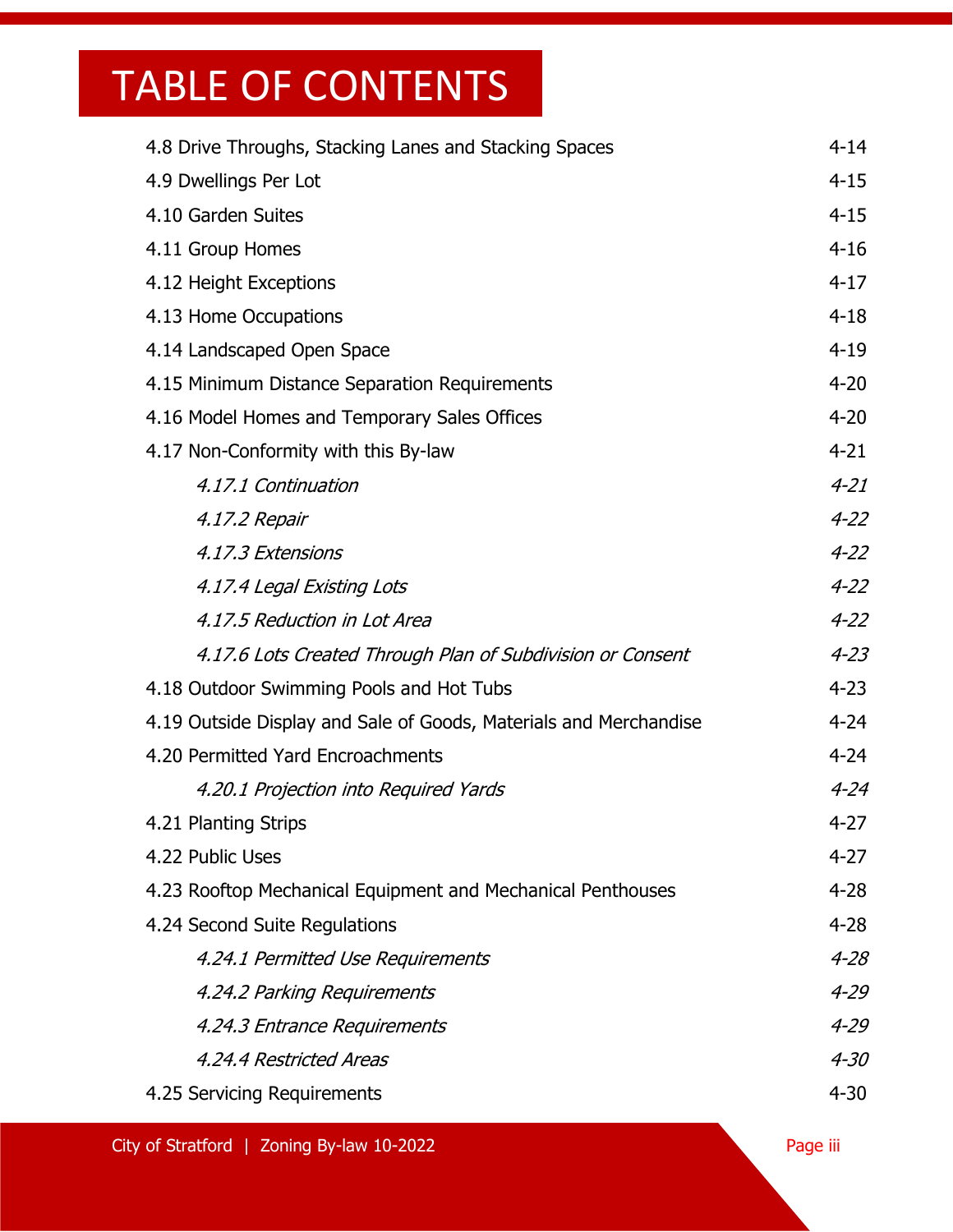| 4.8 Drive Throughs, Stacking Lanes and Stacking Spaces            | $4 - 14$ |
|-------------------------------------------------------------------|----------|
| 4.9 Dwellings Per Lot                                             | $4 - 15$ |
| 4.10 Garden Suites                                                | $4 - 15$ |
| 4.11 Group Homes                                                  | $4 - 16$ |
| 4.12 Height Exceptions                                            | $4 - 17$ |
| 4.13 Home Occupations                                             | $4 - 18$ |
| 4.14 Landscaped Open Space                                        | $4 - 19$ |
| 4.15 Minimum Distance Separation Requirements                     | $4 - 20$ |
| 4.16 Model Homes and Temporary Sales Offices                      | $4 - 20$ |
| 4.17 Non-Conformity with this By-law                              | $4 - 21$ |
| 4.17.1 Continuation                                               | $4 - 21$ |
| 4.17.2 Repair                                                     | $4 - 22$ |
| 4.17.3 Extensions                                                 | $4 - 22$ |
| 4.17.4 Legal Existing Lots                                        | $4 - 22$ |
| 4.17.5 Reduction in Lot Area                                      | $4 - 22$ |
| 4.17.6 Lots Created Through Plan of Subdivision or Consent        | $4 - 23$ |
| 4.18 Outdoor Swimming Pools and Hot Tubs                          | $4 - 23$ |
| 4.19 Outside Display and Sale of Goods, Materials and Merchandise | $4 - 24$ |
| 4.20 Permitted Yard Encroachments                                 | $4 - 24$ |
| 4.20.1 Projection into Required Yards                             | $4 - 24$ |
| 4.21 Planting Strips                                              | $4 - 27$ |
| 4.22 Public Uses                                                  | $4 - 27$ |
| 4.23 Rooftop Mechanical Equipment and Mechanical Penthouses       | $4 - 28$ |
| 4.24 Second Suite Regulations                                     | $4 - 28$ |
| 4.24.1 Permitted Use Requirements                                 | $4 - 28$ |
| 4.24.2 Parking Requirements                                       | $4 - 29$ |
| 4.24.3 Entrance Requirements                                      | $4 - 29$ |
| 4.24.4 Restricted Areas                                           | $4 - 30$ |
| 4.25 Servicing Requirements                                       | $4 - 30$ |

City of Stratford | Zoning By-law 10-2022 Page iii American Page iii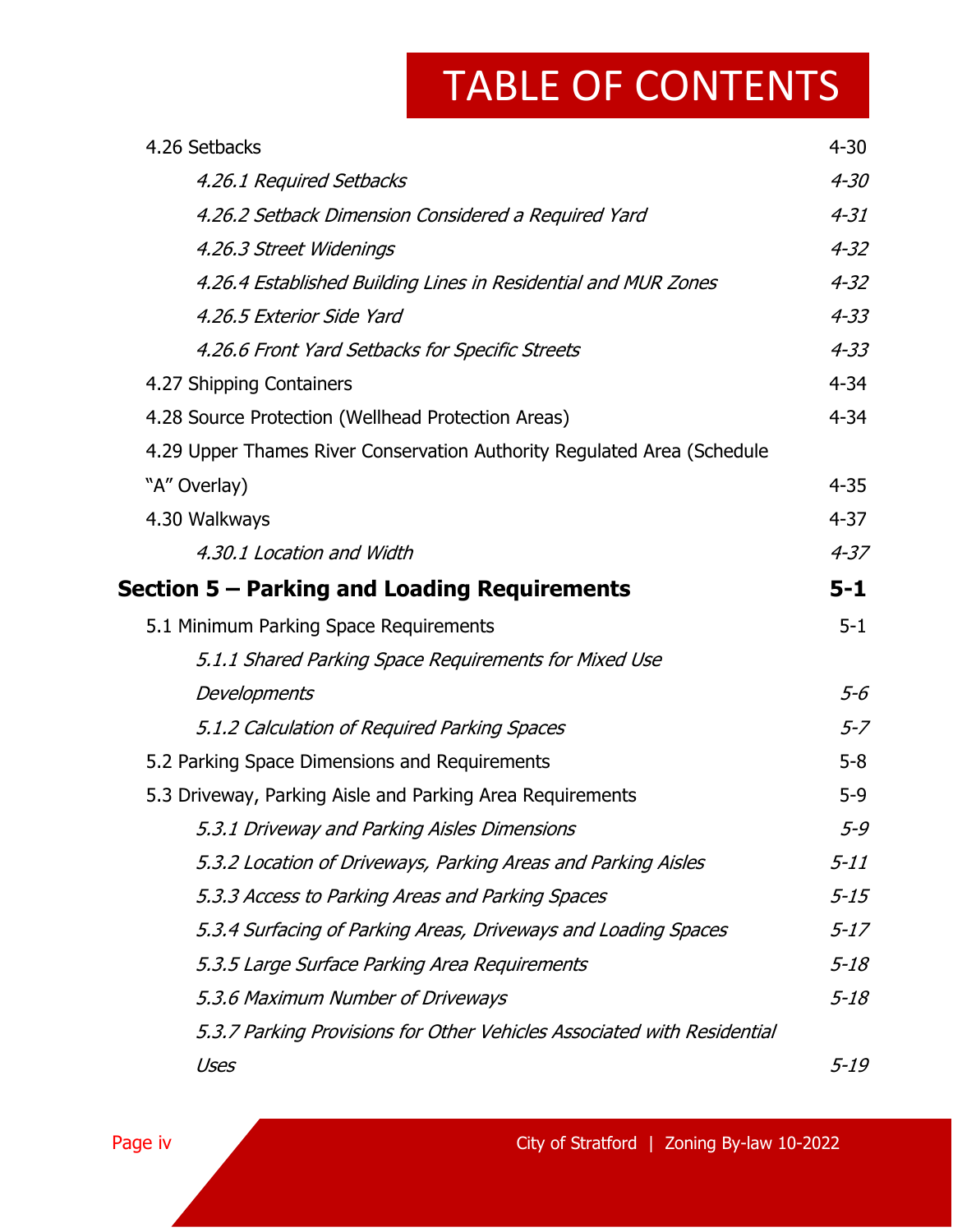| 4.26 Setbacks                                                           | $4 - 30$ |
|-------------------------------------------------------------------------|----------|
| 4.26.1 Required Setbacks                                                | $4 - 30$ |
| 4.26.2 Setback Dimension Considered a Required Yard                     | $4 - 31$ |
| 4.26.3 Street Widenings                                                 | $4 - 32$ |
| 4.26.4 Established Building Lines in Residential and MUR Zones          | $4 - 32$ |
| 4.26.5 Exterior Side Yard                                               | $4 - 33$ |
| 4.26.6 Front Yard Setbacks for Specific Streets                         | $4 - 33$ |
| 4.27 Shipping Containers                                                | $4 - 34$ |
| 4.28 Source Protection (Wellhead Protection Areas)                      | $4 - 34$ |
| 4.29 Upper Thames River Conservation Authority Regulated Area (Schedule |          |
| "A" Overlay)                                                            | $4 - 35$ |
| 4.30 Walkways                                                           | $4 - 37$ |
| 4.30.1 Location and Width                                               | $4 - 37$ |
| Section 5 – Parking and Loading Requirements                            | $5 - 1$  |
| 5.1 Minimum Parking Space Requirements                                  | $5 - 1$  |
| 5.1.1 Shared Parking Space Requirements for Mixed Use                   |          |
| Developments                                                            | $5-6$    |
| 5.1.2 Calculation of Required Parking Spaces                            | $5 - 7$  |
| 5.2 Parking Space Dimensions and Requirements                           | $5-8$    |
| 5.3 Driveway, Parking Aisle and Parking Area Requirements               | $5 - 9$  |
| 5.3.1 Driveway and Parking Aisles Dimensions                            | 5-9      |
| 5.3.2 Location of Driveways, Parking Areas and Parking Aisles           | $5 - 11$ |
| 5.3.3 Access to Parking Areas and Parking Spaces                        | $5 - 15$ |
| 5.3.4 Surfacing of Parking Areas, Driveways and Loading Spaces          | $5 - 17$ |
| 5.3.5 Large Surface Parking Area Requirements                           | $5 - 18$ |
| 5.3.6 Maximum Number of Driveways                                       | $5 - 18$ |
| 5.3.7 Parking Provisions for Other Vehicles Associated with Residential |          |
| Uses                                                                    | $5 - 19$ |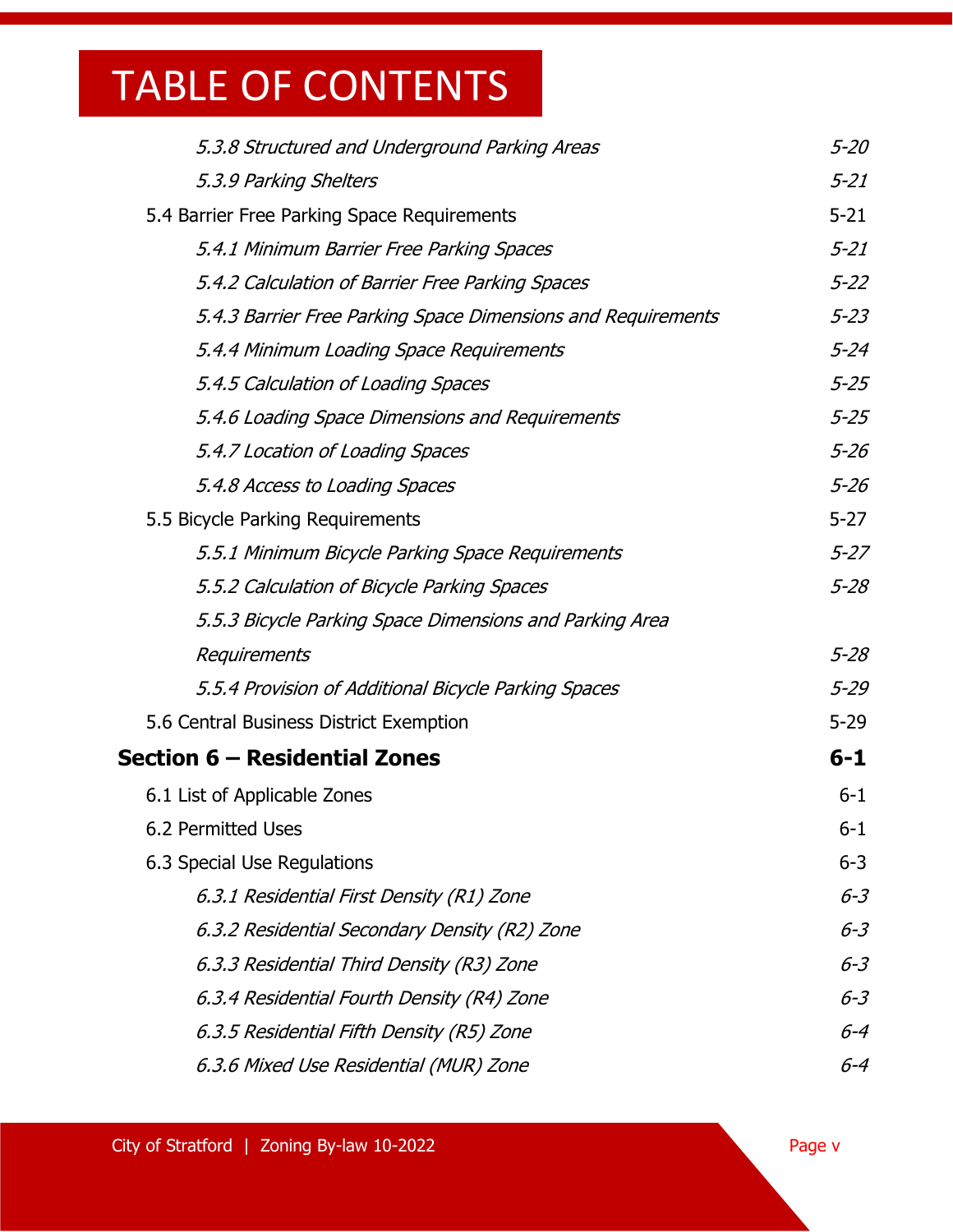| 5.3.8 Structured and Underground Parking Areas               | $5 - 20$ |
|--------------------------------------------------------------|----------|
| 5.3.9 Parking Shelters                                       | $5 - 21$ |
| 5.4 Barrier Free Parking Space Requirements                  | $5 - 21$ |
| 5.4.1 Minimum Barrier Free Parking Spaces                    | $5 - 21$ |
| 5.4.2 Calculation of Barrier Free Parking Spaces             | $5 - 22$ |
| 5.4.3 Barrier Free Parking Space Dimensions and Requirements | $5 - 23$ |
| 5.4.4 Minimum Loading Space Requirements                     | $5 - 24$ |
| 5.4.5 Calculation of Loading Spaces                          | $5 - 25$ |
| 5.4.6 Loading Space Dimensions and Requirements              | $5 - 25$ |
| 5.4.7 Location of Loading Spaces                             | $5 - 26$ |
| 5.4.8 Access to Loading Spaces                               | $5 - 26$ |
| 5.5 Bicycle Parking Requirements                             | $5 - 27$ |
| 5.5.1 Minimum Bicycle Parking Space Requirements             | $5 - 27$ |
| 5.5.2 Calculation of Bicycle Parking Spaces                  | $5 - 28$ |
| 5.5.3 Bicycle Parking Space Dimensions and Parking Area      |          |
| Requirements                                                 | $5 - 28$ |
| 5.5.4 Provision of Additional Bicycle Parking Spaces         | $5 - 29$ |
| 5.6 Central Business District Exemption                      | $5 - 29$ |
| Section 6 – Residential Zones                                | $6 - 1$  |
| 6.1 List of Applicable Zones                                 | $6 - 1$  |
| 6.2 Permitted Uses                                           | $6 - 1$  |
| 6.3 Special Use Regulations                                  | $6 - 3$  |
| 6.3.1 Residential First Density (R1) Zone                    | $6 - 3$  |
| 6.3.2 Residential Secondary Density (R2) Zone                | $6 - 3$  |
| 6.3.3 Residential Third Density (R3) Zone                    | $6 - 3$  |
| 6.3.4 Residential Fourth Density (R4) Zone                   | $6 - 3$  |
| 6.3.5 Residential Fifth Density (R5) Zone                    | $6 - 4$  |
| 6.3.6 Mixed Use Residential (MUR) Zone                       | $6 - 4$  |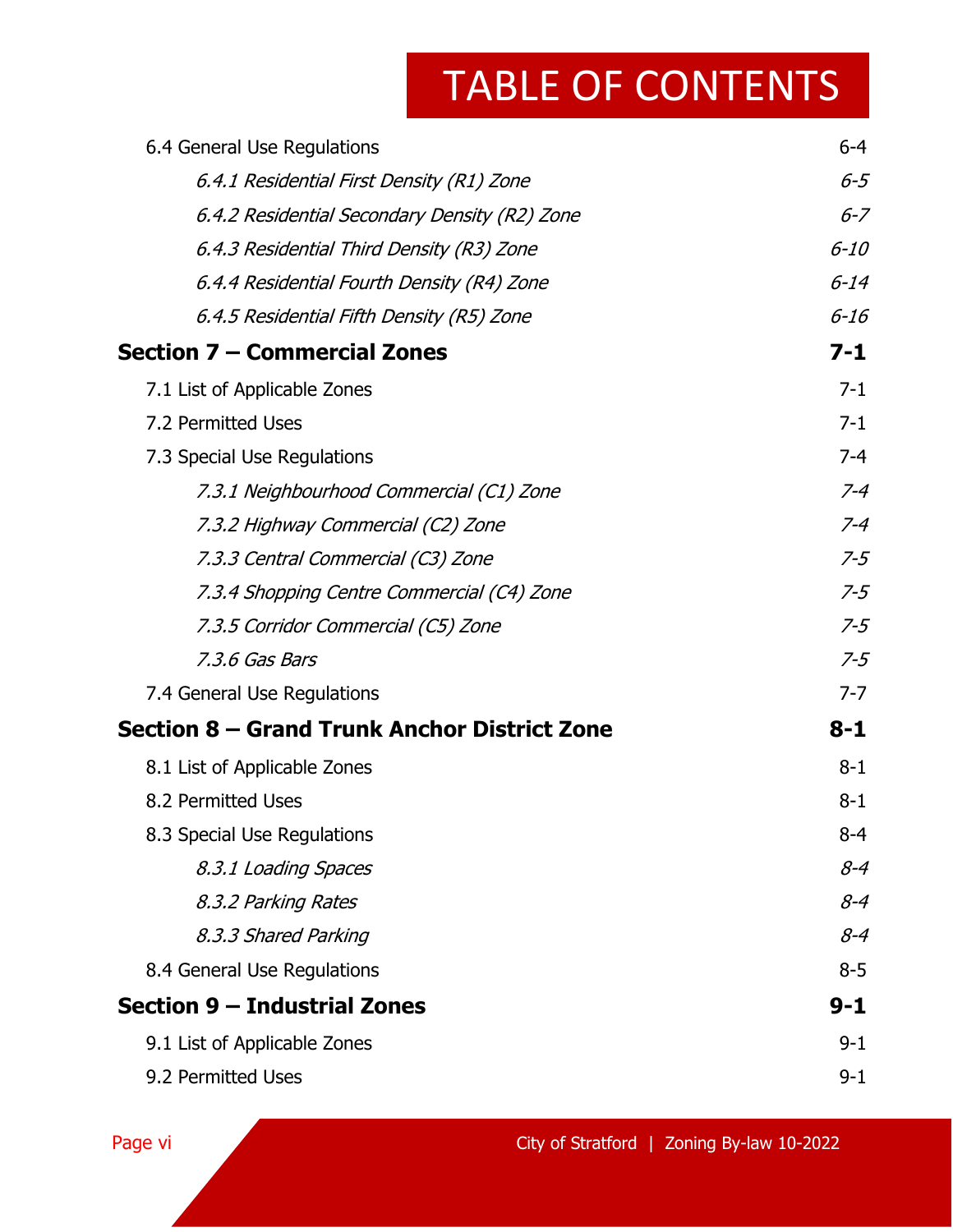| 6.4 General Use Regulations                   | $6 - 4$  |
|-----------------------------------------------|----------|
| 6.4.1 Residential First Density (R1) Zone     | $6 - 5$  |
| 6.4.2 Residential Secondary Density (R2) Zone | $6 - 7$  |
| 6.4.3 Residential Third Density (R3) Zone     | $6 - 10$ |
| 6.4.4 Residential Fourth Density (R4) Zone    | $6 - 14$ |
| 6.4.5 Residential Fifth Density (R5) Zone     | $6 - 16$ |
| Section 7 – Commercial Zones                  | $7 - 1$  |
| 7.1 List of Applicable Zones                  | $7 - 1$  |
| 7.2 Permitted Uses                            | $7 - 1$  |
| 7.3 Special Use Regulations                   | $7 - 4$  |
| 7.3.1 Neighbourhood Commercial (C1) Zone      | $7 - 4$  |
| 7.3.2 Highway Commercial (C2) Zone            | $7 - 4$  |
| 7.3.3 Central Commercial (C3) Zone            | $7 - 5$  |
| 7.3.4 Shopping Centre Commercial (C4) Zone    | $7 - 5$  |
| 7.3.5 Corridor Commercial (C5) Zone           | $7 - 5$  |
| 7.3.6 Gas Bars                                | $7 - 5$  |
| 7.4 General Use Regulations                   | $7 - 7$  |
| Section 8 – Grand Trunk Anchor District Zone  | $8 - 1$  |
| 8.1 List of Applicable Zones                  | $8 - 1$  |
| 8.2 Permitted Uses                            | $8 - 1$  |
| 8.3 Special Use Regulations                   | 8-4      |
| 8.3.1 Loading Spaces                          | $8 - 4$  |
| 8.3.2 Parking Rates                           | $8 - 4$  |
| 8.3.3 Shared Parking                          | $8 - 4$  |
| 8.4 General Use Regulations                   | $8 - 5$  |
| Section 9 - Industrial Zones                  | $9 - 1$  |
| 9.1 List of Applicable Zones                  | $9 - 1$  |
| 9.2 Permitted Uses                            | $9 - 1$  |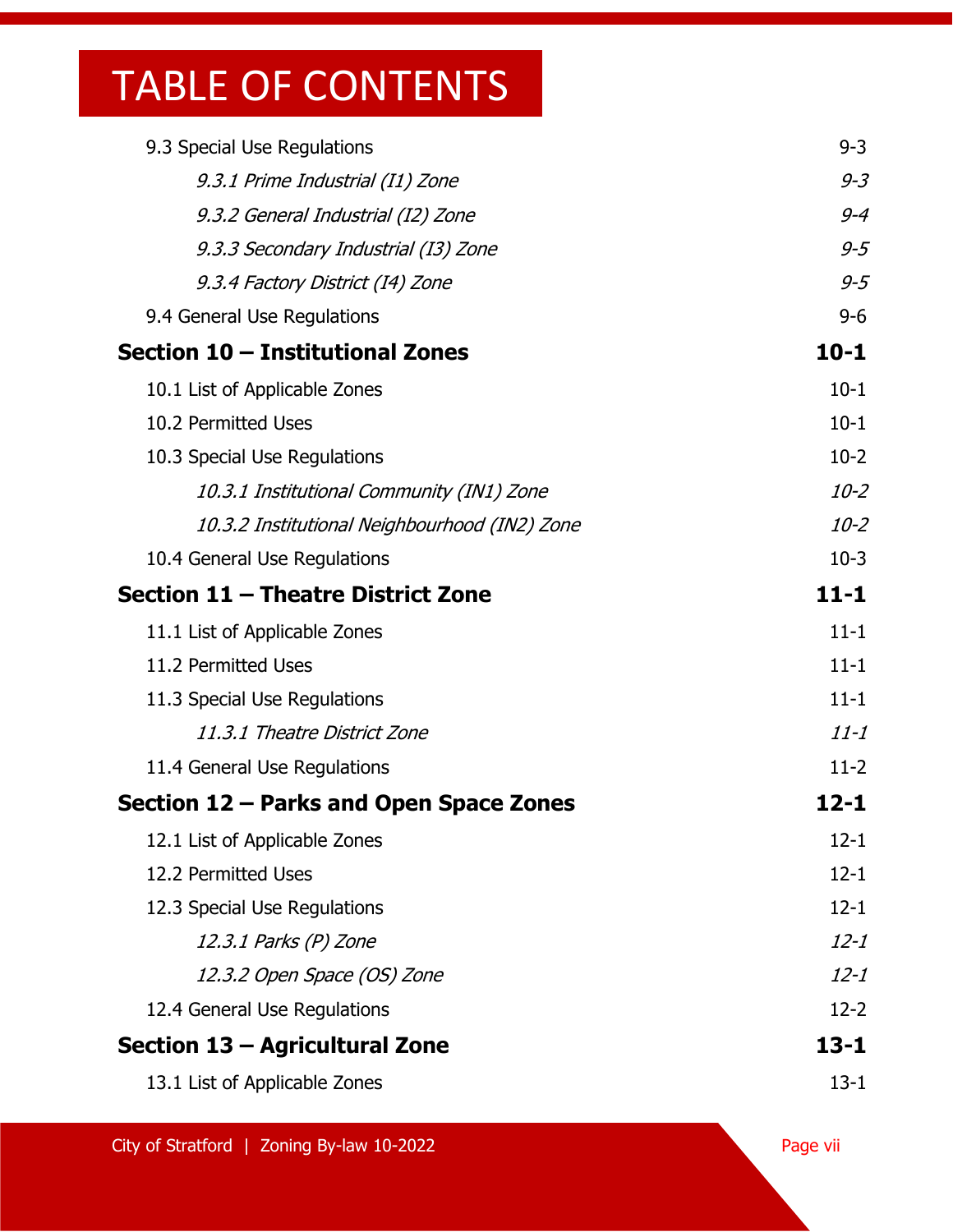| 9.3 Special Use Regulations                   | $9 - 3$  |
|-----------------------------------------------|----------|
| 9.3.1 Prime Industrial (I1) Zone              | $9 - 3$  |
| 9.3.2 General Industrial (I2) Zone            | $9 - 4$  |
| 9.3.3 Secondary Industrial (13) Zone          | $9 - 5$  |
| 9.3.4 Factory District (14) Zone              | $9 - 5$  |
| 9.4 General Use Regulations                   | $9 - 6$  |
| Section 10 - Institutional Zones              | $10 - 1$ |
| 10.1 List of Applicable Zones                 | $10-1$   |
| 10.2 Permitted Uses                           | $10-1$   |
| 10.3 Special Use Regulations                  | $10-2$   |
| 10.3.1 Institutional Community (IN1) Zone     | $10 - 2$ |
| 10.3.2 Institutional Neighbourhood (IN2) Zone | $10 - 2$ |
| 10.4 General Use Regulations                  | $10-3$   |
| Section 11 - Theatre District Zone            | $11 - 1$ |
| 11.1 List of Applicable Zones                 | $11 - 1$ |
| 11.2 Permitted Uses                           | $11 - 1$ |
| 11.3 Special Use Regulations                  | $11 - 1$ |
| 11.3.1 Theatre District Zone                  | $11 - 1$ |
| 11.4 General Use Regulations                  | $11-2$   |
| Section 12 – Parks and Open Space Zones       | 12-1     |
| 12.1 List of Applicable Zones                 | $12 - 1$ |
| 12.2 Permitted Uses                           | $12 - 1$ |
| 12.3 Special Use Regulations                  | $12 - 1$ |
| 12.3.1 Parks (P) Zone                         | $12 - 1$ |
| 12.3.2 Open Space (OS) Zone                   | $12 - 1$ |
| 12.4 General Use Regulations                  | $12 - 2$ |
| Section 13 – Agricultural Zone                | $13 - 1$ |
| 13.1 List of Applicable Zones                 | $13 - 1$ |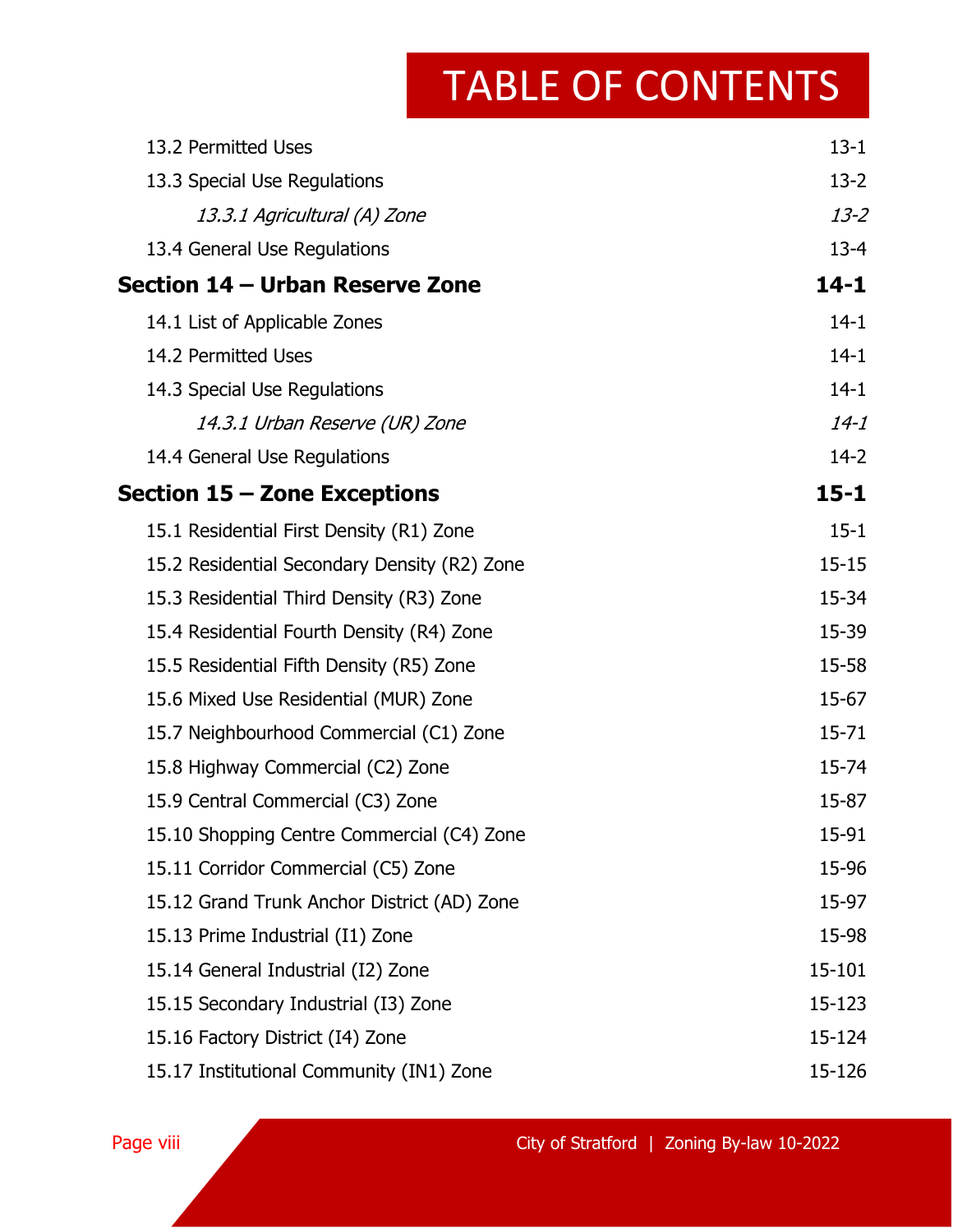| 13.2 Permitted Uses                          | $13 - 1$  |
|----------------------------------------------|-----------|
| 13.3 Special Use Regulations                 | $13 - 2$  |
| 13.3.1 Agricultural (A) Zone                 | $13 - 2$  |
| 13.4 General Use Regulations                 | $13 - 4$  |
| Section 14 – Urban Reserve Zone              | $14 - 1$  |
| 14.1 List of Applicable Zones                | $14-1$    |
| 14.2 Permitted Uses                          | $14-1$    |
| 14.3 Special Use Regulations                 | $14-1$    |
| 14.3.1 Urban Reserve (UR) Zone               | $14 - 1$  |
| 14.4 General Use Regulations                 | $14-2$    |
| Section 15 – Zone Exceptions                 | $15 - 1$  |
| 15.1 Residential First Density (R1) Zone     | $15 - 1$  |
| 15.2 Residential Secondary Density (R2) Zone | $15 - 15$ |
| 15.3 Residential Third Density (R3) Zone     | 15-34     |
| 15.4 Residential Fourth Density (R4) Zone    | 15-39     |
| 15.5 Residential Fifth Density (R5) Zone     | 15-58     |
| 15.6 Mixed Use Residential (MUR) Zone        | 15-67     |
| 15.7 Neighbourhood Commercial (C1) Zone      | $15 - 71$ |
| 15.8 Highway Commercial (C2) Zone            | 15-74     |
| 15.9 Central Commercial (C3) Zone            | 15-87     |
| 15.10 Shopping Centre Commercial (C4) Zone   | 15-91     |
| 15.11 Corridor Commercial (C5) Zone          | 15-96     |
| 15.12 Grand Trunk Anchor District (AD) Zone  | 15-97     |
| 15.13 Prime Industrial (I1) Zone             | 15-98     |
| 15.14 General Industrial (I2) Zone           | 15-101    |
| 15.15 Secondary Industrial (I3) Zone         | 15-123    |
| 15.16 Factory District (I4) Zone             | 15-124    |
| 15.17 Institutional Community (IN1) Zone     | 15-126    |